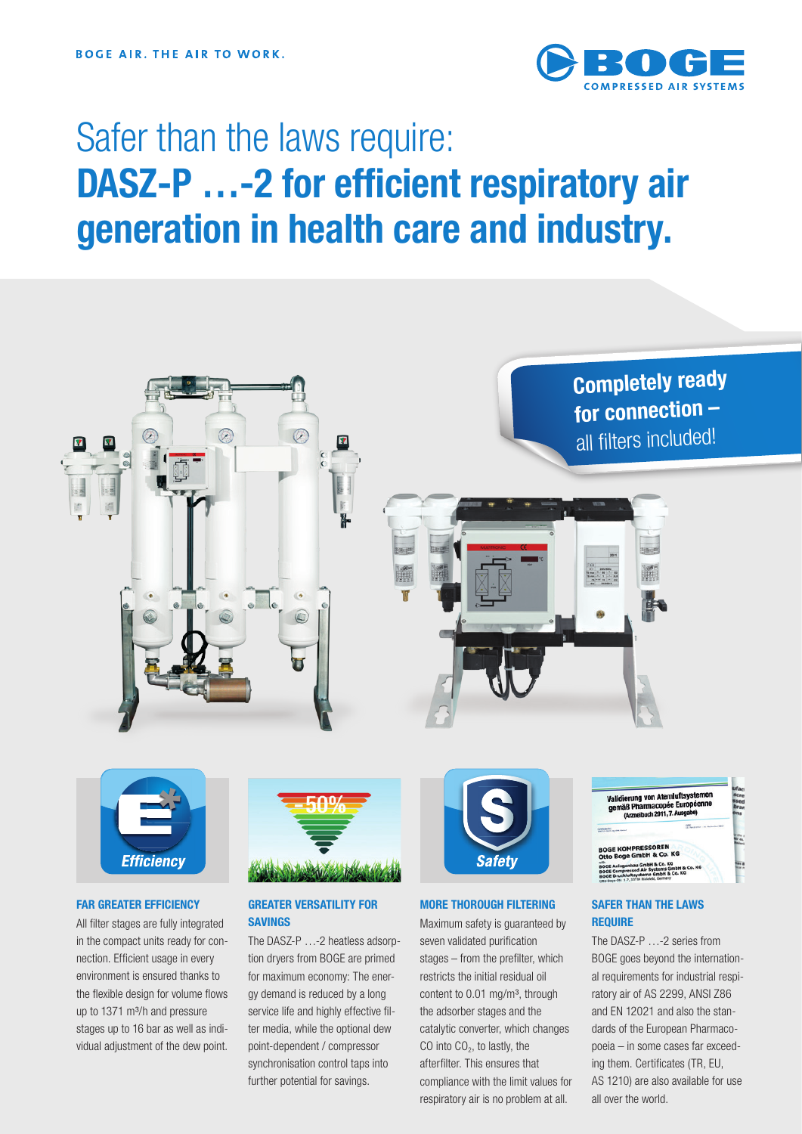

# Safer than the laws require: DASZ-P ...-2 for efficient respiratory air generation in health care and industry.





### FAR GREATER EFFICIENCY

All filter stages are fully integrated in the compact units ready for connection. Efficient usage in every environment is ensured thanks to the flexible design for volume flows up to 1371 m<sup>3</sup>/h and pressure stages up to 16 bar as well as individual adjustment of the dew point.



# GREATER VERSATILITY FOR SAVINGS

The DASZ-P ...-2 heatless adsorption dryers from BOGE are primed for maximum economy: The energy demand is reduced by a long service life and highly effective filter media, while the optional dew point-dependent / compressor synchronisation control taps into further potential for savings.



# MORE THOROUGH FILTERING

Maximum safety is guaranteed by seven validated purification stages – from the prefilter, which restricts the initial residual oil content to  $0.01$  mg/m<sup>3</sup>, through the adsorber stages and the catalytic converter, which changes CO into  $CO<sub>2</sub>$ , to lastly, the afterfilter. This ensures that compliance with the limit values for respiratory air is no problem at all.



# SAFER THAN THE LAWS **REQUIRE**

The DASZ‑P …‑2 series from BOGE goes beyond the international requirements for industrial respiratory air of AS 2299, ANSI Z86 and EN 12021 and also the standards of the European Pharmacopoeia – in some cases far exceed‑ ing them. Certificates (TR, EU, AS 1210) are also available for use all over the world.